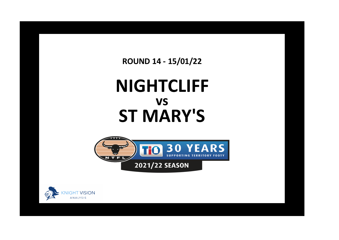**ROUND 14 - 15/01/22**

## **NIGHTCLIFF ST MARY'S vs**



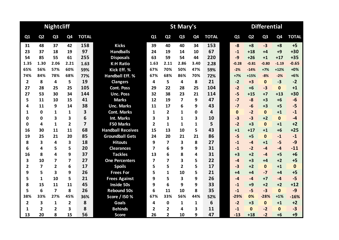|                |                | <b>Nightcliff</b>       |                |                |                          | <b>Differential</b><br>St Mary's |                |                |                |              |  |          |                |                |                |              |
|----------------|----------------|-------------------------|----------------|----------------|--------------------------|----------------------------------|----------------|----------------|----------------|--------------|--|----------|----------------|----------------|----------------|--------------|
| Q1             | Q <sub>2</sub> | Q <sub>3</sub>          | Q4             | <b>TOTAL</b>   |                          | Q1                               | Q <sub>2</sub> | Q <sub>3</sub> | Q <sub>4</sub> | <b>TOTAL</b> |  | Q1       | Q <sub>2</sub> | Q <sub>3</sub> | Q <sub>4</sub> | <b>TOTAL</b> |
| 31             | 48             | 37                      | 42             | 158            | <b>Kicks</b>             | 39                               | 40             | 40             | 34             | 153          |  | $-8$     | $+8$           | $-3$           | $+8$           | $+5$         |
| 23             | 37             | 18                      | 19             | 97             | <b>Handballs</b>         | 24                               | 19             | 14             | 10             | 67           |  | $-1$     | $+18$          | $+4$           | $+9$           | $+30$        |
| 54             | 85             | 55                      | 61             | 255            | <b>Disposals</b>         | 63                               | 59             | 54             | 44             | 220          |  | $-9$     | $+26$          | $+1$           | $+17$          | $+35$        |
| 1.35           | 1.30           | 2.06                    | 2.21           | 1.63           | <b>K:H Ratio</b>         | 1.63                             | 2.11           | 2.86           | 3.40           | 2.28         |  | $-0.28$  | $-0.81$        | $-0.80$        | $-1.19$        | $-0.65$      |
| 65%            | 56%            | 57%                     | 60%            | 59%            | Kick Eff. %              | 67%                              | 70%            | 50%            | 47%            | 59%          |  | $-2%$    | $-14%$         | $+7%$          | $+12%$         | $+0%$        |
| 74%            | 84%            | 78%                     | 68%            | 77%            | <b>Handball Eff. %</b>   | 67%                              | 68%            | 86%            | 70%            | 72%          |  | $+7%$    | $+15%$         | $-8%$          | $-2%$          | $+6%$        |
| $\overline{2}$ | 8              | 4                       | 5              | 19             | <b>Clangers</b>          | 4                                | 5              | 4              | 8              | 21           |  | $-2$     | $+3$           | $\mathbf{0}$   | $-3$           | $-2$         |
| 27             | 28             | 25                      | 25             | 105            | <b>Cont. Poss</b>        | 29                               | 22             | 28             | 25             | 104          |  | $-2$     | $+6$           | $-3$           | $\mathbf{0}$   | $+1$         |
| 27             | 53             | 30                      | 34             | 144            | <b>Unc. Poss</b>         | 32                               | 38             | 23             | 21             | 114          |  | $-5$     | $+15$          | $+7$           | $+13$          | $+30$        |
| 5              | 11             | 10                      | 15             | 41             | <b>Marks</b>             | 12                               | 19             | 7              | 9              | 47           |  | $-7$     | $-8$           | $+3$           | $+6$           | $-6$         |
| 4              | 11             | 9                       | 14             | 38             | <b>Unc. Marks</b>        | 11                               | 17             | 6              | 9              | 43           |  | $-7$     | $-6$           | $+3$           | $+5$           | $-5$         |
| 1              | $\mathbf 0$    | 1                       | 1              | 3              | <b>Cont. Marks</b>       | 1                                | $\overline{2}$ | 1              | 0              | 4            |  | $\Omega$ | $-2$           | $\mathbf{0}$   | $+1$           | $-1$         |
| 0              | 0              | 3                       | 3              | 6              | <b>Int. Marks</b>        | 3                                | 3              | 1              | 3              | 10           |  | $-3$     | $-3$           | $+2$           | $\mathbf{0}$   | $-4$         |
| 0              | 4              | 1                       | $\overline{2}$ | $\overline{7}$ | <b>F50 Marks</b>         | $\overline{2}$                   | 1              | 1              | 1              | 5            |  | $-2$     | $+3$           | $\mathbf{0}$   | $+1$           | $+2$         |
| 16             | 30             | 11                      | 11             | 68             | <b>Handball Receives</b> | 15                               | 13             | 10             | 5              | 43           |  | $+1$     | $+17$          | $+1$           | $+6$           | $+25$        |
| 19             | 25             | 21                      | 20             | 85             | <b>Groundball Gets</b>   | 24                               | 20             | 21             | 21             | 86           |  | $-5$     | $+5$           | $\mathbf{0}$   | $-1$           | $-1$         |
| 8              | 3              | 4                       | 3              | 18             | <b>Hitouts</b>           | 9                                | 7              | 3              | 8              | 27           |  | $-1$     | $-4$           | $+1$           | $-5$           | $-9$         |
| 6              | 4              | 5                       | 5              | 20             | <b>Clearances</b>        | 7                                | 6              | 9              | 9              | 31           |  | $-1$     | $-2$           | $-4$           | $-4$           | $-11$        |
| 16             | 8              | 4                       | 9              | 37             | <b>Tackles</b>           | 13                               | 6              | 8              | 4              | 31           |  | $+3$     | $+2$           | $-4$           | $+5$           | $+6$         |
| 3              | 10             | $\overline{\mathbf{z}}$ | 7              | 27             | <b>One Percenters</b>    | 7                                | 7              | 3              | 5              | 22           |  | $-4$     | $+3$           | +4             | $+2$           | $+5$         |
| 2              | $\overline{7}$ | $\overline{2}$          | 6              | 17             | <b>Spoils</b>            | 5                                | 5              | $\overline{2}$ | 5              | 17           |  | $-3$     | $+2$           | $\Omega$       | $+1$           | $\mathbf{0}$ |
| 9              | 5              | 3                       | 9              | 26             | <b>Frees For</b>         | 5                                | 1              | 10             | 5              | 21           |  | $+4$     | $+4$           | $-7$           | $+4$           | $+5$         |
| 5              | $\mathbf{1}$   | 10                      | 5              | 21             | <b>Frees Against</b>     | 9                                | 5              | 3              | 9              | 26           |  | $-4$     | $-4$           | $+7$           | $-4$           | $-5$         |
| 8              | 15             | 11                      | 11             | 45             | Inside 50s               | 9                                | 6              | 9              | 9              | 33           |  | $-1$     | $+9$           | $+2$           | $+2$           | $+12$        |
| 5              | 6              | $\overline{\mathbf{z}}$ | 8              | 26             | <b>Rebound 50s</b>       | 6                                | 11             | 10             | 8              | 35           |  | $-1$     | $-5$           | $-3$           | $\mathbf{0}$   | $-9$         |
| 38%            | 33%            | 27%                     | 45%            | 36%            | Score / I50 %            | 67%                              | 33%            | 56%            | 44%            | 52%          |  | $-29%$   | 0%             | $-28%$         | $+1%$          | $-16%$       |
| $\overline{2}$ | 3              | $\mathbf{1}$            | $\mathbf{2}$   | 8              | <b>Goals</b>             | 4                                | $\mathbf 0$    | 1              | 1              | 6            |  | $-2$     | $+3$           | $\mathbf{0}$   | $+1$           | $+2$         |
| 1              | 2              | 2                       | 3              | 8              | <b>Behinds</b>           | 2                                | 2              | 4              | 3              | 11           |  | $-1$     | $\Omega$       | $-2$           | $\mathbf{0}$   | $-3$         |
| 13             | 20             | 8                       | 15             | 56             | <b>Score</b>             | 26                               | $\overline{2}$ | 10             | 9              | 47           |  | $-13$    | $+18$          | $-2$           | $+6$           | $+9$         |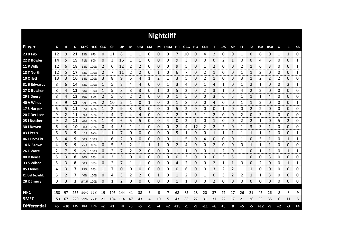|                     |      |       |       |            |             |    |      |       |    |    |      |          | <b>Nightcliff</b> |       |        |    |            |              |      |           |      |    |            |              |      |                |           |
|---------------------|------|-------|-------|------------|-------------|----|------|-------|----|----|------|----------|-------------------|-------|--------|----|------------|--------------|------|-----------|------|----|------------|--------------|------|----------------|-----------|
| <b>Player</b>       | К    | н     | D     |            | KE% HE% CLG |    | CP   | UP    | M  | UM | CM   |          | IM F50M HR        |       | GBG HO |    | <b>CLR</b> | т            | 1%   | <b>SP</b> | FF   | FA | <b>I50</b> | <b>R50</b>   | G    | В              | <b>SA</b> |
| 23 B Filo           | 12   | 9     | 21    | 83%        | 67%         | 0  | 11   | 8     | 1  | 1  | 0    | 0        | 0                 | 7     | 10     | 0  | 4          | 2            | 0    | 0         | 1    | 0  | 6          | 0            | 1    | 1              | 0         |
| 22 D Bowles         | 14   | 5     | 19    | 71%        | 60%         | O  | 3    | 16    |    |    | 0    | 0        | 0                 | 9     | 3      | 0  | 0          | 0            |      | 1         | 0    | 0  | 4          | 5            | 0    | 0              | 1         |
| 11 P Wills          | 12   | 6     | 18    | 58%        | 100%        | 2  | 6    | 12    | 2  | 2  | 0    | 0        | 0                 | 9     | 5      | 0  |            | 2            | 0    | 0         | 2    | 1  | 6          | 3            | 0    | 0              | 1         |
| 18 T North          | 12   | 5     | 17    | 33%        | 100%        | 2  | 7    | 11    | 2  | 2  | 0    | 1        | 0                 | 6     |        | 0  | 2          | 1            | 0    | 0         |      | 1  | 2          | 0            | 0    | 0              | 1         |
| 10 C I lett         | 13   | 3     | 16    |            | 54% 100%    | 3  | 8    | 9     | 5  | 4  | 1    | 2        |                   | 3     | 5      | 0  | 2          | 1            | 0    | 0         | 3    | 1  | 2          | 2            | 2    | 0              | 0         |
| 31 B Edwards        | 8    | 6     | 14    | 63%        | 100%        | 1  | 5    | 8     | 4  | 4  | 0    | 0        |                   | 3     | 4      | 0  |            | 4            |      | 0         |      | 2  | 1          | 0            | 0    | 2              | 1         |
| 27 D Butcher        | 8    | 4     | 12    | 38%        | 100%        | 1  | 5    | 8     | 3  | 3  | 0    | 1        | 0                 | 5     | 2      | 0  | 2          | 3            | 1    | 0         | 4    | 2  | 2          | 0            | 0    | 0              | 0         |
| 29 S Deery          | 8    | 4     | 12    | 50%        | 50%         | 2  | 5    | 6     | 2  | 2  | 0    | 0        | 0                 | 1     | 5      | 0  | 0          | 3            | 6    | 5         |      | 1  |            | 4            | 0    | 0              | 0         |
| 40 A Wines          | 3    | 9     | 12    | 0%         | 78%         | 2  | 10   | 2     | 1  | 0  | 1    | 0        | 0                 | 1     | 8      | 0  | 0          | 4            | 0    | 0         | 1    | 1  | 2          | 0            | 0    | 0              | 1         |
| 17 S Harper         | 6    | 5     | 11    | 67%        | 60%         | 1  | 2    | 9     | 3  | 3  | 0    | 0        | 0                 | 5     |        | 0  | 0          | 0            | 1    | 0         | 0    | 2  | 2          | 0            | 0    | 0              | 0         |
| 20 Z Derksen        | 9    | 2     | 11    | 89%        | 50%         | 1  | 4    | 7     | 4  | 4  | 0    | 0        | 1                 | 2     | 3      | 5  | 1          | 2            | 0    | 0         | 2    | 0  | 3          | 1            | 0    | 0              | 0         |
| 25 J Butcher        | 9    | 2     | 11    | 78%        | 50%         | 1  | 4    | 6     | 5  | 5  | 0    | 0        | 4                 | 0     |        | 1  | 0          | 1            | 0    | 0         | 2    | 2  |            | 0            | 5    | $\overline{2}$ | 0         |
| 30 J Bowen          | 6    | 4     | 10    | 50%        | 75%         | 0  | 4    | 5     | 1  | 1  | 0    | $\Omega$ | 0                 | 2     | 4      | 12 | 2          | 2            | 2    | 0         | 1    | 3  | 3          | $\mathbf{1}$ | 0    | 0              | 0         |
| 03 J Peris          | 6    | 3     | 9     | 67%        | 67%         | 1  | 1    |       | 0  | 0  | 0    | 0        | 0                 | 5     | 1      | 0  | 0          | 1            | 1    | 1         |      | 1  | 1          | 1            | 0    | 0              | 1         |
| 06 L Holt-Fitz      | 5    | 4     | 9     | 60%        | 100%        | 1  | 6    | 2     | 0  | 0  | 0    | 0        | 0                 |       | 5      | 0  | 4          | 0            | 0    | 0         | 1    | 0  | 3          | 1            | 0    | 1              | 1         |
| 14 N Brown          | 4    | 5     | 9     | 75%        | 80%         | 0  | 5    | 3     | 2  | 1  | 1    | 1        | 0                 | 2     | 4      | 0  | 0          | 2            | 0    | 0         | 0    | 1  | 1          | 1            | 0    | 0              | 0         |
| 26 E Ware           | 2    | 7     | 9     | 0%         | 100%        | 0  | 2    | 7     | 2  | 2  | 0    | 0        | 0                 | 1     | 1      | 0  | 0          | $\mathbf{1}$ | 2    | 0         | 1    | 0  | 1          | 1            | 0    | 1              | 1         |
| 08 D Keast          | 5    | 3     | 8     | 80%        | 33%         | 0  | 3    | 5     | 0  | 0  | 0    | 0        | 0                 | 0     | 3      | 0  | 0          | 0            | 5    | 5         | 1    | 0  | 0          | 3            | 0    | 0              | 0         |
| 33 S Wilson         | 5    | 3     | 8     | 60%        | 33%         | 0  | 2    | 7     | 1  | 1  | 0    | 0        | 0                 | 4     | 2      | 0  | 0          | 2            |      | 1         | 0    | 0  | 2          | 0            | 0    | 1              | 1         |
| 05 J Jones          | 4    | 3     | 7     | 25%        | 33%         | 1  |      | 0     | 0  | 0  | 0    | 0        | 0                 | 0     | 6      | 0  | 0          | 3            | 2    | 2         | 1    | 1  | 0          | 0            | 0    | 0              | 0         |
| 12 Joel Budarick    | 5    | 2     | 7     | 40%        | 100%        | 0  | 4    | 3     | 2  | 2  | 0    | 1        | 0                 | 1     | 2      | 0  | 1          | 0            | 3    | 2         | 2    | 1  | 1          | 3            | 0    | 0              | 0         |
| 28 K Emery          | 0    | 3     | 3     | ##### 100% |             | 0  | 1    | 2     | 0  | 0  | 0    | 0        | 0                 | 1     | 1      | 0  | 0          | 2            | 0    | 0         | 0    | 0  | 0          | 0            | 0    | 0              | 0         |
|                     |      |       |       |            |             |    |      |       |    |    |      |          |                   |       |        |    |            |              |      |           |      |    |            |              |      |                |           |
| <b>NFC</b>          | 158  | 97    | 255   | 59%        | 77%         | 19 | 105  | 144   | 41 | 38 | з    | 6        | 7                 | 68    | 85     | 18 | 20         | 37           | 27   | 17        | 26   | 21 | 45         | 26           | 8    | 8              | 9         |
| <b>SMFC</b>         | 153  | 67    | 220   |            | 59% 72%     | 21 | 104  | 114   | 47 | 43 | 4    | 10       | 5                 | 43    | 86     | 27 | 31         | 31           | 22   | 17        | 21   | 26 | 33         | 35           | 6    | 11             | 5         |
| <b>Differential</b> | $+5$ | $+30$ | $+35$ | $+0\%$     | $+6%$       | -2 | $+1$ | $+30$ | -6 | -5 | $-1$ | -4       | $+2$              | $+25$ | $-1$   | -9 | $-11$      | $+6$         | $+5$ | 0         | $+5$ | -5 | $+12$      | $-9$         | $+2$ | -3             | $+4$      |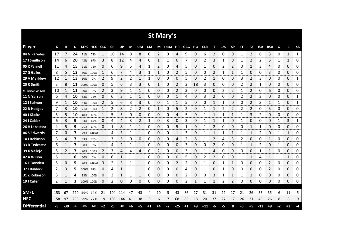|                     |     |       |     |          |             |      |           |       |    |      |           |    | St Mary's |       |            |      |            |    |    |              |    |              |       |                |    |          |              |
|---------------------|-----|-------|-----|----------|-------------|------|-----------|-------|----|------|-----------|----|-----------|-------|------------|------|------------|----|----|--------------|----|--------------|-------|----------------|----|----------|--------------|
| <b>Player</b>       | К   | н     | D   |          | KE% HE% CLG |      | <b>CP</b> | UP    | M  | UM   | <b>CM</b> | IM | F50M HR   |       | <b>GBG</b> | но   | <b>CLR</b> | т  | 1% | <b>SP</b>    | FF | FA           | 150   | <b>R50</b>     | G  | В        | <b>SA</b>    |
| 04 N Paredes        | 17  | 7     | 24  | 71%      | 71%         | 1    | 10        | 14    | 8  | 8    | 0         | 2  | 0         | 4     | 9          | 0    | 6          | 2  | 0  | 0            | 1  | 2            | 6     | 3              | 0  | 1        | $\mathbf{1}$ |
| 17 J Smithson       | 14  | 6     | 20  | 43%      | 67%         | 3    | 8         | 12    | 4  | 4    | 0         |    |           | 6     |            | 0    |            | 3  |    | 0            |    |              |       | 5              |    | 1        | 0            |
| 05 K Parnell        | 11  | 4     | 15  | 91%      | 75%         | 0    | 6         | 9     | 5  | 4    | 1         | 2  | 0         | 4     | 5          | 0    |            | 0  | 2  | 2            | 0  | 1            | 3     | 4              | 0  | 0        | 0            |
| 27 G Gallus         | 8   | 5     | 13  | 50%      | 100%        |      | 6         |       | 4  | 3    | 1         | 1  | 0         | 2     | 5          | 0    | 0          | 2  |    | 1            |    | 0            | 0     | 3              | 0  | 0        | 0            |
| 29 A Marklew        | 12  | 1     | 13  | 50%      | 0%          | 2    | 9         | 2     | 2  | 1    | 1         | 0  | 0         | 0     | 5          | 0    | 2          | 1  | 0  | 0            | 3  | 2            | 3     | 0              | 0  | 0        | 1            |
| 20 R Smith          | 3   | 8     | 11  |          | 100% 100%   | 0    | 5         | 6     | 3  | 3    | 0         | 1  | 0         | 2     | 3          | 18   | 3          | 0  | 0  | 0            | 2  | 2            |       | 0              | 0  | 0        | 0            |
| 21 Braxton Ah Mat   | 10  |       | 11  | 90%      | 0%          | 2    | 3         | 9     | 1  | 1    | 0         | 0  | 0         | 2     | 3          | 0    | 0          | 0  | 2  | 2            |    | 2            | 0     | 6              | 0  | 0        | 0            |
| 11 N Yarran         | 6   | 4     | 10  | 83%      | 75%         | 0    | 6         | 3     | 1  | 1    | 0         | 0  | 0         | 1     | 4          | 0    | 3          | 2  | 0  | 0            | 2  | 2            | 3     | 0              | 0  | 0        | 1            |
| 12 J Salmon         | 9   | 1     | 10  |          | 44% 100%    | 2    | 5         | 6     | 3  | 3    | 0         | 0  | 1         | 1     | 5          | 0    | 0          | 1  |    | 0            | 0  | 2            | 3     | 1              | 1  | 0        | 1            |
| 22 B Hodges         | 7   | 3     | 10  | 71%      | 100%        |      | 2         | 8     | 2  | 2    | 0         | 1  | 0         | 5     | 2          | 0    |            |    |    | 2            |    | 2            | 0     | 5              | 0  | 0        | 0            |
| 40 J Kluske         | 5   | 5     | 10  | 40%      | 60%         | 1    | 5         | 5     | 0  | 0    | 0         | 0  | 0         | 4     | 5          | 0    |            | 1  |    | 1            | 1  | 3            | 2     | 0              | 0  | 0        | 0            |
| 24 J Calder         | 6   | 3     | 9   | 33%      | 67%         | 0    | 4         | 4     | 3  | 2    | 1         | 0  | 3         | 0     | 3          | 0    |            | 1  |    | 0            | 1  | 0            | 0     | 0              | 1  | 3        | 1            |
| 26 H Labastida      | 4   | 5     | 9   | 75%      | 40%         | 0    | 1         | 8     | 1  | 1    | 0         | 0  | 0         | 5     | 1          | 0    | 1          | 2  | 0  | 0            | 0  | $\mathbf{1}$ | 1     | 0              | 0  | $\Omega$ | 0            |
| 06 S Edwards        | 7   | 0     | 7   | 29%      | #####       |      | 4         | 3     | 1  | 1    | 0         | 0  | 0         | 1     | 3          | 0    |            | 1  |    | 1            |    | 1            | 2     | 0              | 1  | 1        | 0            |
| 14 J Robinson       | 3   | 4     | 7   | 33%      | 75%         | 1    | 3         | 5     | 0  | 0    | 0         | 0  | 0         | 4     | 2          | 8    | 1          | 2  | 4  | 3            | 2  | 0            | 0     | 1              | 0  | 0        | 0            |
| 33 B Tedcastle      | 6   | 1     | 7   | 50%      | 0%          |      | 4         | 2     | 1  | 1    | 0         | 0  | 0         | 0     | 3          | 0    | 0          | 2  | 0  | 0            | 1  | 1            | 2     | 0              | 1  | 0        | 0            |
| 39 X Vallejo        | 5   | 2     | 7   | 20%      | 100%        | 2    | 3         | 4     | 4  | 4    | 0         | 2  | 0         | 0     | 3          | 0    | 1          | 4  | 0  | 0            | 0  | 0            | 1     | 1              | 0  | 0        | 0            |
| 42 A Wilson         | 5   | 1     | 6   | 60%      | 0%          | 0    | 6         |       | 1  | 1    | 0         | 0  | 0         | 0     | 5          | 0    | 2          | 2  | 0  | 0            | 1  | 1            | Δ     | 1              | 1  | 1        | 0            |
| 16 E Bowden         | 5   | 0     | 5   | 20%      | #####       | 3    | 2         | 3     | 1  | 1    | 0         | 0  | 0         | 2     | 2          | 0    | 1          | 0  |    | $\mathbf{1}$ | 0  | 0            | 0     | $\overline{2}$ | 0  | 0        | 0            |
| 37 I Baldock        | 2   | 3     | 5   | 100% 67% |             | 0    | 4         |       | 1  | 1    | 0         | 0  | 0         | 0     | 4          | 0    | 1          | 0  | 1  | 0            | 0  | 0            | 0     | 2              | 0  | 0        | 0            |
| 31 Z Robinson       | 3   | 1     | 4   | 33%      | 100%        | 0    | 3         | 1     | 1  | 1    | 0         | 0  | 0         | 0     | 2          | 0    | 0          | 3  | 1  | $\mathbf{1}$ | 1  | 1            | 0     | 0              | 0  | 0        | 0            |
| 19 J Cullen         | 2   | 1     | з   |          | 100% 100%   | 0    | 2         | 0     | 0  | 0    | 0         | 0  | 0         | 0     | 2          | 1    | 1          | 1  | 2  | 2            | 0  | 0            | 0     | 0              | 0  | 0        | 0            |
|                     |     |       |     |          |             |      |           |       |    |      |           |    |           |       |            |      |            |    |    |              |    |              |       |                |    |          |              |
| <b>SMFC</b>         | 153 | 67    | 220 | 59%      | 72%         | 21   | 104       | 114   | 47 | 43   |           | 10 |           | 43    | 86         | 27   | 31         | 31 | 22 | 17           | 21 | 26           | 33    | 35             | 6  | 11       | 5            |
| <b>NFC</b>          | 158 | 97    | 255 |          | 59% 77%     | 19   | 105       | 144   | 41 | 38   | 3         | 6  | 7         | 68    | 85         | 18   | 20         | 37 | 27 | 17           | 26 | 21           | 45    | 26             | 8  | 8        | 9            |
| <b>Differential</b> | -5  | $-30$ | -35 | $-0%$    | -6%         | $+2$ | -1        | $-30$ | +6 | $+5$ | $+1$      | +4 | $-2$      | $-25$ | $+1$       | $+9$ | $+11$      | -6 | -5 | 0            | -5 | $+5$         | $-12$ | $+9$           | -2 | $+3$     | -4           |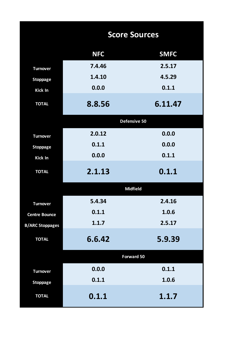|                        |            | <b>Score Sources</b> |
|------------------------|------------|----------------------|
|                        | <b>NFC</b> | <b>SMFC</b>          |
| <b>Turnover</b>        | 7.4.46     | 2.5.17               |
| <b>Stoppage</b>        | 1.4.10     | 4.5.29               |
| <b>Kick In</b>         | 0.0.0      | 0.1.1                |
| <b>TOTAL</b>           | 8.8.56     | 6.11.47              |
|                        |            | Defensive 50         |
| <b>Turnover</b>        | 2.0.12     | 0.0.0                |
| <b>Stoppage</b>        | 0.1.1      | 0.0.0                |
| <b>Kick In</b>         | 0.0.0      | 0.1.1                |
| <b>TOTAL</b>           | 2.1.13     | 0.1.1                |
|                        |            | <b>Midfield</b>      |
| <b>Turnover</b>        | 5.4.34     | 2.4.16               |
| <b>Centre Bounce</b>   | 0.1.1      | 1.0.6                |
| <b>B/ARC Stoppages</b> | 1.1.7      | 2.5.17               |
| <b>TOTAL</b>           | 6.6.42     | 5.9.39               |
|                        |            | <b>Forward 50</b>    |
| <b>Turnover</b>        | 0.0.0      | 0.1.1                |
| <b>Stoppage</b>        | 0.1.1      | 1.0.6                |
| <b>TOTAL</b>           | 0.1.1      | 1.1.7                |